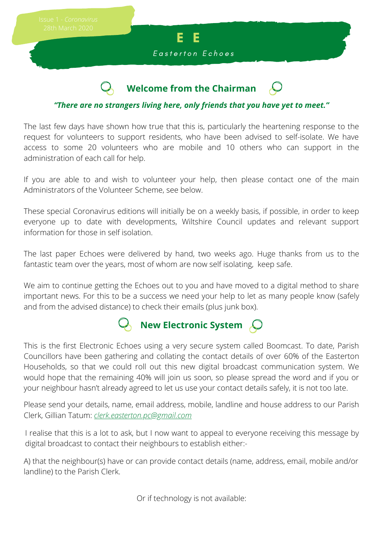

## **Welcome from the Chairman**

#### *"There are no strangers living here, only friends that you have yet to meet."*

The last few days have shown how true that this is, particularly the heartening response to the request for volunteers to support residents, who have been advised to self-isolate. We have access to some 20 volunteers who are mobile and 10 others who can support in the administration of each call for help.

If you are able to and wish to volunteer your help, then please contact one of the main Administrators of the Volunteer Scheme, see below.

These special Coronavirus editions will initially be on a weekly basis, if possible, in order to keep everyone up to date with developments, Wiltshire Council updates and relevant support information for those in self isolation.

The last paper Echoes were delivered by hand, two weeks ago. Huge thanks from us to the fantastic team over the years, most of whom are now self isolating, keep safe.

We aim to continue getting the Echoes out to you and have moved to a digital method to share important news. For this to be a success we need your help to let as many people know (safely and from the advised distance) to check their emails (plus junk box).

# **New Electronic System**

This is the first Electronic Echoes using a very secure system called Boomcast. To date, Parish Councillors have been gathering and collating the contact details of over 60% of the Easterton Households, so that we could roll out this new digital broadcast communication system. We would hope that the remaining 40% will join us soon, so please spread the word and if you or your neighbour hasn't already agreed to let us use your contact details safely, it is not too late.

Please send your details, name, email address, mobile, landline and house address to our Parish Clerk, Gillian Tatum: *clerk.easterton.pc@gmail.com*

I realise that this is a lot to ask, but I now want to appeal to everyone receiving this message by digital broadcast to contact their neighbours to establish either:-

A) that the neighbour(s) have or can provide contact details (name, address, email, mobile and/or landline) to the Parish Clerk.

Or if technology is not available: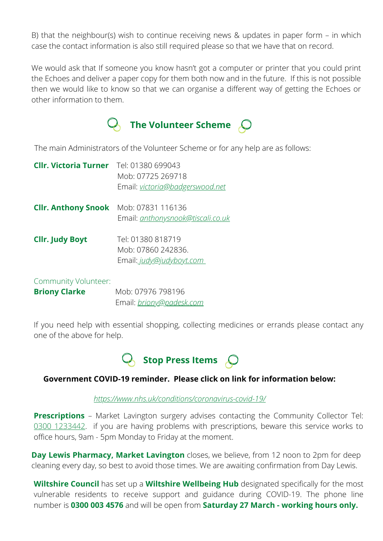B) that the neighbour(s) wish to continue receiving news & updates in paper form – in which case the contact information is also still required please so that we have that on record.

We would ask that If someone you know hasn't got a computer or printer that you could print the Echoes and deliver a paper copy for them both now and in the future. If this is not possible then we would like to know so that we can organise a different way of getting the Echoes or other information to them.



The main Administrators of the Volunteer Scheme or for any help are as follows:

| <b>Cllr. Victoria Turner</b>                 | Tel: 01380 699043<br>Mob: 07725 269718<br>Email: victoria@badgerswood.net |
|----------------------------------------------|---------------------------------------------------------------------------|
| <b>Clir. Anthony Snook</b> Mob: 07831 116136 | Email: <i>anthonysnook@tiscali.co.uk</i>                                  |
| <b>Cllr. Judy Boyt</b>                       | Tel: 01380 818719<br>Mob: 07860 242836.<br>Email: judy@judyboyt.com       |

Community Volunteer:

**Briony Clarke Mob: 07976 798196** Email: *briony@padesk.com*

If you need help with essential shopping, collecting medicines or errands please contact any one of the above for help.



#### **Government COVID-19 reminder. Please click on link for information below:**

*<https://www.nhs.uk/conditions/coronavirus-covid-19/>*

**Prescriptions** – Market Lavington surgery advises contacting the Community Collector Tel: 0300 1233442. If you are having problems with prescriptions, beware this service works to office hours, 9am - 5pm Monday to Friday at the moment.

**Day Lewis Pharmacy, Market Lavington** closes, we believe, from 12 noon to 2pm for deep cleaning every day, so best to avoid those times. We are awaiting confirmation from Day Lewis.

**Wiltshire Council** has set up a **Wiltshire Wellbeing Hub** designated specifically for the most vulnerable residents to receive support and guidance during COVID-19. The phone line number is **0300 003 4576** and will be open from **Saturday 27 March - working hours only.**